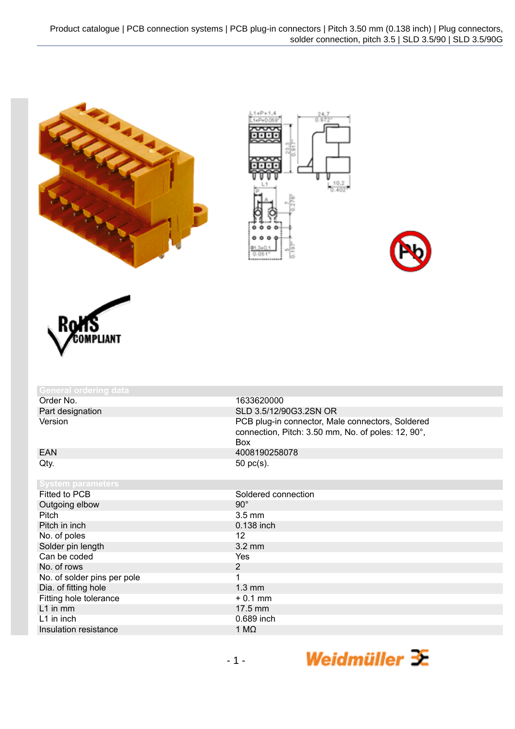



| <b>General ordering data</b> |                                                                                                                      |
|------------------------------|----------------------------------------------------------------------------------------------------------------------|
| Order No.                    | 1633620000                                                                                                           |
| Part designation             | SLD 3.5/12/90G3.2SN OR                                                                                               |
| Version                      | PCB plug-in connector, Male connectors, Soldered<br>connection, Pitch: 3.50 mm, No. of poles: 12, 90°,<br><b>Box</b> |
| <b>EAN</b>                   | 4008190258078                                                                                                        |
| Qty.                         | 50 pc(s).                                                                                                            |
| <b>System parameters</b>     |                                                                                                                      |
| Fitted to PCB                | Soldered connection                                                                                                  |
| Outgoing elbow               | $90^{\circ}$                                                                                                         |
| Pitch                        | $3.5 \text{ mm}$                                                                                                     |
| Pitch in inch                | 0.138 inch                                                                                                           |
| No. of poles                 | $12 \overline{ }$                                                                                                    |
| Solder pin length            | $3.2 \text{ mm}$                                                                                                     |
| Can be coded                 | Yes                                                                                                                  |
| No. of rows                  | $\overline{2}$                                                                                                       |
| No. of solder pins per pole  | 1                                                                                                                    |
| Dia. of fitting hole         | $1.3 \text{ mm}$                                                                                                     |
| Fitting hole tolerance       | $+0.1$ mm                                                                                                            |
| $L1$ in mm                   | 17.5 mm                                                                                                              |
| L1 in inch                   | 0.689 inch                                                                                                           |
| Insulation resistance        | 1 M $\Omega$                                                                                                         |

Weidmüller  $\mathcal{\mathcal{F}}$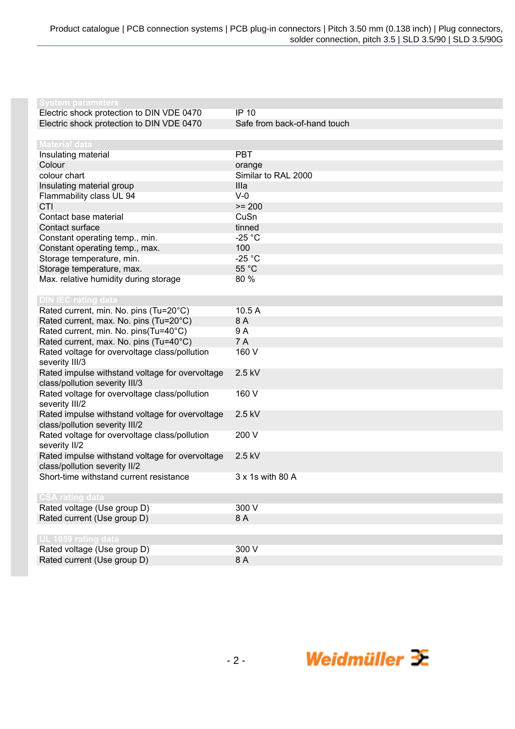| <b>System parameters</b>                                           |                              |
|--------------------------------------------------------------------|------------------------------|
| Electric shock protection to DIN VDE 0470                          | <b>IP 10</b>                 |
| Electric shock protection to DIN VDE 0470                          | Safe from back-of-hand touch |
|                                                                    |                              |
| <b>Material data</b>                                               |                              |
| Insulating material                                                | <b>PBT</b>                   |
| Colour                                                             | orange                       |
| colour chart                                                       | Similar to RAL 2000          |
| Insulating material group                                          | Illa                         |
| Flammability class UL 94                                           | $V-0$                        |
| CTI                                                                | $>= 200$                     |
| Contact base material                                              | CuSn                         |
| Contact surface                                                    | tinned                       |
| Constant operating temp., min.                                     | $-25$ °C                     |
| Constant operating temp., max.                                     | 100                          |
| Storage temperature, min.                                          | $-25 °C$                     |
|                                                                    | 55 °C                        |
| Storage temperature, max.<br>Max. relative humidity during storage | 80 %                         |
|                                                                    |                              |
| <b>DIN IEC rating data</b>                                         |                              |
| Rated current, min. No. pins (Tu=20°C)                             | 10.5A                        |
| Rated current, max. No. pins (Tu=20°C)                             | 8 A                          |
| Rated current, min. No. pins(Tu=40°C)                              | 9 A                          |
| Rated current, max. No. pins (Tu=40°C)                             | 7 A                          |
| Rated voltage for overvoltage class/pollution                      | 160 V                        |
| severity III/3                                                     |                              |
| Rated impulse withstand voltage for overvoltage                    | 2.5 kV                       |
| class/pollution severity III/3                                     |                              |
| Rated voltage for overvoltage class/pollution                      | 160 V                        |
| severity III/2                                                     |                              |
| Rated impulse withstand voltage for overvoltage                    | 2.5 kV                       |
| class/pollution severity III/2                                     |                              |
| Rated voltage for overvoltage class/pollution                      | 200 V                        |
| severity II/2                                                      |                              |
| Rated impulse withstand voltage for overvoltage                    | 2.5 kV                       |
| class/pollution severity II/2                                      |                              |
| Short-time withstand current resistance                            | 3 x 1s with 80 A             |
|                                                                    |                              |
| <b>CSA rating data</b>                                             |                              |
| Rated voltage (Use group D)                                        | 300 V                        |
| Rated current (Use group D)                                        | 8 A                          |
|                                                                    |                              |
| UL 1059 rating data                                                |                              |
| Rated voltage (Use group D)                                        | 300 V                        |
| Rated current (Use group D)                                        | 8 A                          |

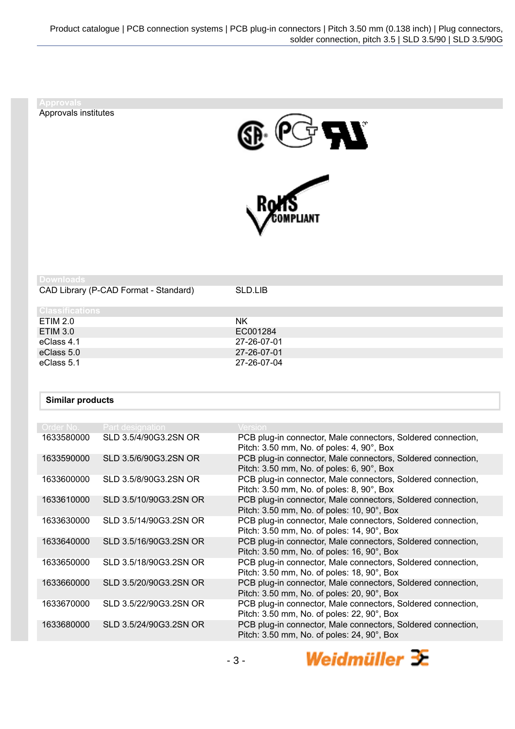Approvals institutes





| Downloads                             |             |
|---------------------------------------|-------------|
| CAD Library (P-CAD Format - Standard) | SLD.LIB     |
| <b>Classifications</b>                |             |
| <b>ETIM 2.0</b>                       | <b>NK</b>   |
| <b>ETIM 3.0</b>                       | EC001284    |
| eClass 4.1                            | 27-26-07-01 |
| eClass 5.0                            | 27-26-07-01 |
| eClass 5.1                            | 27-26-07-04 |

## **Similar products**

| Order No.  | Part designation       | <b>Version</b>                                                                                                       |
|------------|------------------------|----------------------------------------------------------------------------------------------------------------------|
| 1633580000 | SLD 3.5/4/90G3.2SN OR  | PCB plug-in connector, Male connectors, Soldered connection,<br>Pitch: 3.50 mm, No. of poles: 4, 90°, Box            |
| 1633590000 | SLD 3.5/6/90G3.2SN OR  | PCB plug-in connector, Male connectors, Soldered connection,<br>Pitch: 3.50 mm, No. of poles: 6, 90°, Box            |
| 1633600000 | SLD 3.5/8/90G3.2SN OR  | PCB plug-in connector, Male connectors, Soldered connection,<br>Pitch: 3.50 mm, No. of poles: 8, 90°, Box            |
| 1633610000 | SLD 3.5/10/90G3.2SN OR | PCB plug-in connector, Male connectors, Soldered connection,<br>Pitch: 3.50 mm, No. of poles: 10, 90°, Box           |
| 1633630000 | SLD 3.5/14/90G3.2SN OR | PCB plug-in connector, Male connectors, Soldered connection,<br>Pitch: 3.50 mm, No. of poles: 14, 90°, Box           |
| 1633640000 | SLD 3.5/16/90G3.2SN OR | PCB plug-in connector, Male connectors, Soldered connection,<br>Pitch: 3.50 mm, No. of poles: 16, 90°, Box           |
| 1633650000 | SLD 3.5/18/90G3.2SN OR | PCB plug-in connector, Male connectors, Soldered connection,<br>Pitch: 3.50 mm, No. of poles: 18, 90°, Box           |
| 1633660000 | SLD 3.5/20/90G3.2SN OR | PCB plug-in connector, Male connectors, Soldered connection,<br>Pitch: 3.50 mm, No. of poles: 20, 90°, Box           |
| 1633670000 | SLD 3.5/22/90G3.2SN OR | PCB plug-in connector, Male connectors, Soldered connection,<br>Pitch: 3.50 mm, No. of poles: 22, 90°, Box           |
| 1633680000 | SLD 3.5/24/90G3.2SN OR | PCB plug-in connector, Male connectors, Soldered connection,<br>Pitch: $3.50$ mm, No. of poles: $24, 90^\circ$ , Box |
|            |                        |                                                                                                                      |

Weidmüller  $\mathcal{\mathcal{F}}$